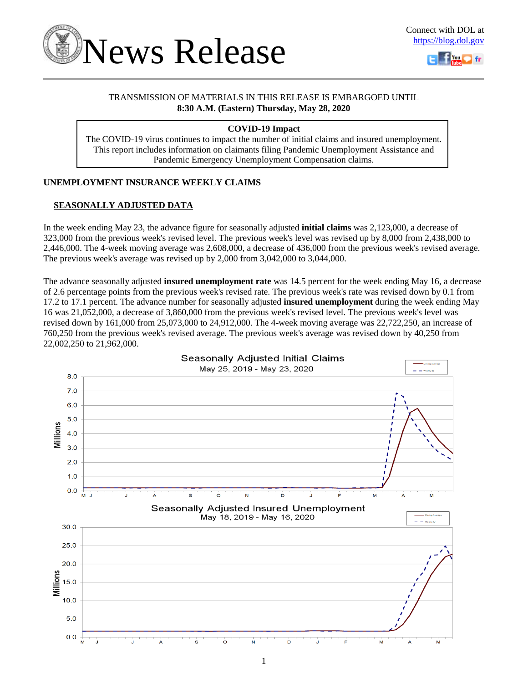



# TRANSMISSION OF MATERIALS IN THIS RELEASE IS EMBARGOED UNTIL **8:30 A.M. (Eastern) Thursday, May 28, 2020**

# **COVID-19 Impact**

The COVID-19 virus continues to impact the number of initial claims and insured unemployment. This report includes information on claimants filing Pandemic Unemployment Assistance and Pandemic Emergency Unemployment Compensation claims.

# **UNEMPLOYMENT INSURANCE WEEKLY CLAIMS**

# **SEASONALLY ADJUSTED DATA**

In the week ending May 23, the advance figure for seasonally adjusted **initial claims** was 2,123,000, a decrease of 323,000 from the previous week's revised level. The previous week's level was revised up by 8,000 from 2,438,000 to 2,446,000. The 4-week moving average was 2,608,000, a decrease of 436,000 from the previous week's revised average. The previous week's average was revised up by 2,000 from 3,042,000 to 3,044,000.

The advance seasonally adjusted **insured unemployment rate** was 14.5 percent for the week ending May 16, a decrease of 2.6 percentage points from the previous week's revised rate. The previous week's rate was revised down by 0.1 from 17.2 to 17.1 percent. The advance number for seasonally adjusted **insured unemployment** during the week ending May 16 was 21,052,000, a decrease of 3,860,000 from the previous week's revised level. The previous week's level was revised down by 161,000 from 25,073,000 to 24,912,000. The 4-week moving average was 22,722,250, an increase of 760,250 from the previous week's revised average. The previous week's average was revised down by 40,250 from 22,002,250 to 21,962,000.

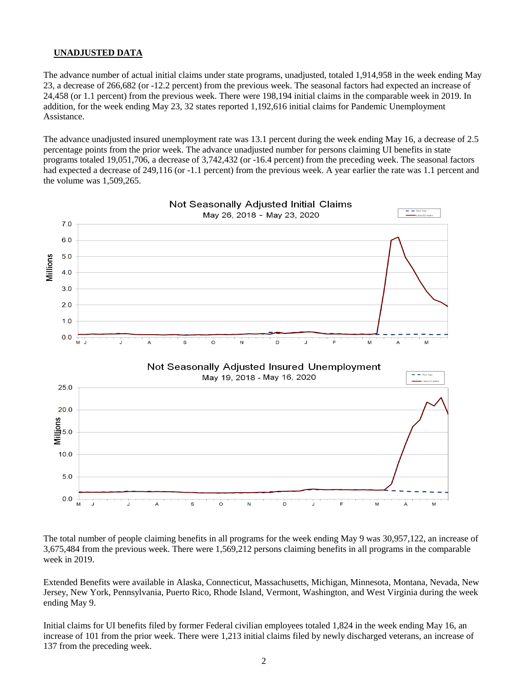## **UNADJUSTED DATA**

The advance number of actual initial claims under state programs, unadjusted, totaled 1,914,958 in the week ending May 23, a decrease of 266,682 (or -12.2 percent) from the previous week. The seasonal factors had expected an increase of 24,458 (or 1.1 percent) from the previous week. There were 198,194 initial claims in the comparable week in 2019. In addition, for the week ending May 23, 32 states reported 1,192,616 initial claims for Pandemic Unemployment Assistance.

The advance unadjusted insured unemployment rate was 13.1 percent during the week ending May 16, a decrease of 2.5 percentage points from the prior week. The advance unadjusted number for persons claiming UI benefits in state programs totaled 19,051,706, a decrease of 3,742,432 (or -16.4 percent) from the preceding week. The seasonal factors had expected a decrease of 249,116 (or -1.1 percent) from the previous week. A year earlier the rate was 1.1 percent and the volume was 1,509,265.



The total number of people claiming benefits in all programs for the week ending May 9 was 30,957,122, an increase of 3,675,484 from the previous week. There were 1,569,212 persons claiming benefits in all programs in the comparable week in 2019.

Extended Benefits were available in Alaska, Connecticut, Massachusetts, Michigan, Minnesota, Montana, Nevada, New Jersey, New York, Pennsylvania, Puerto Rico, Rhode Island, Vermont, Washington, and West Virginia during the week ending May 9.

Initial claims for UI benefits filed by former Federal civilian employees totaled 1,824 in the week ending May 16, an increase of 101 from the prior week. There were 1,213 initial claims filed by newly discharged veterans, an increase of 137 from the preceding week.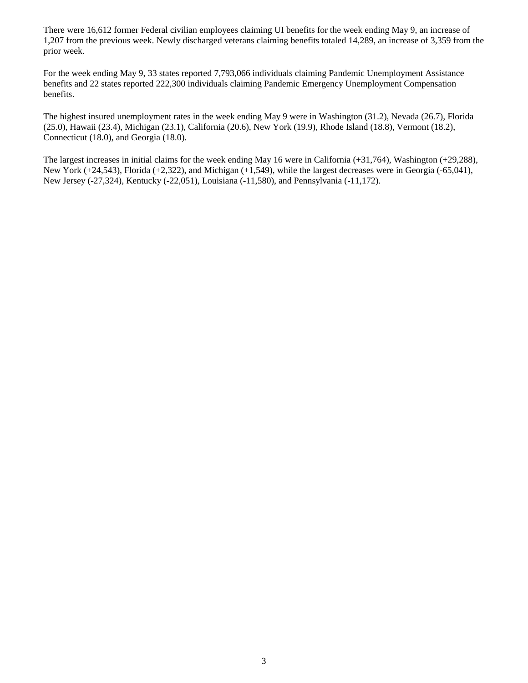There were 16,612 former Federal civilian employees claiming UI benefits for the week ending May 9, an increase of 1,207 from the previous week. Newly discharged veterans claiming benefits totaled 14,289, an increase of 3,359 from the prior week.

For the week ending May 9, 33 states reported 7,793,066 individuals claiming Pandemic Unemployment Assistance benefits and 22 states reported 222,300 individuals claiming Pandemic Emergency Unemployment Compensation benefits.

The highest insured unemployment rates in the week ending May 9 were in Washington (31.2), Nevada (26.7), Florida (25.0), Hawaii (23.4), Michigan (23.1), California (20.6), New York (19.9), Rhode Island (18.8), Vermont (18.2), Connecticut (18.0), and Georgia (18.0).

The largest increases in initial claims for the week ending May 16 were in California (+31,764), Washington (+29,288), New York (+24,543), Florida (+2,322), and Michigan (+1,549), while the largest decreases were in Georgia (-65,041), New Jersey (-27,324), Kentucky (-22,051), Louisiana (-11,580), and Pennsylvania (-11,172).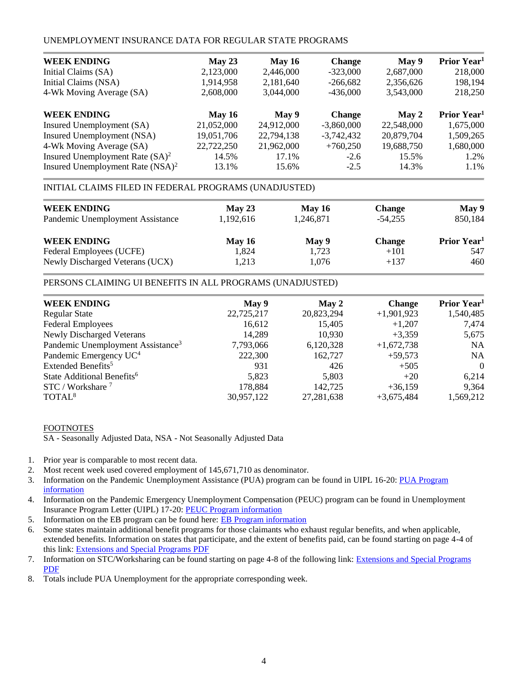# UNEMPLOYMENT INSURANCE DATA FOR REGULAR STATE PROGRAMS

| <b>WEEK ENDING</b>                           | May 23     | May $16$   | <b>Change</b> | May 9      | Prior Year <sup>1</sup> |
|----------------------------------------------|------------|------------|---------------|------------|-------------------------|
| Initial Claims (SA)                          | 2,123,000  | 2,446,000  | $-323,000$    | 2,687,000  | 218,000                 |
| Initial Claims (NSA)                         | 1,914,958  | 2,181,640  | $-266.682$    | 2,356,626  | 198,194                 |
| 4-Wk Moving Average (SA)                     | 2,608,000  | 3,044,000  | $-436,000$    | 3,543,000  | 218,250                 |
| <b>WEEK ENDING</b>                           | May $16$   | May 9      | <b>Change</b> | May 2      | Prior Year <sup>1</sup> |
| Insured Unemployment (SA)                    | 21,052,000 | 24,912,000 | $-3,860,000$  | 22,548,000 | 1,675,000               |
| Insured Unemployment (NSA)                   | 19,051,706 | 22,794,138 | $-3,742,432$  | 20,879,704 | 1,509,265               |
| 4-Wk Moving Average (SA)                     | 22,722,250 | 21,962,000 | $+760,250$    | 19,688,750 | 1,680,000               |
| Insured Unemployment Rate $(SA)^2$           | 14.5%      | 17.1%      | $-2.6$        | 15.5%      | 1.2%                    |
| Insured Unemployment Rate (NSA) <sup>2</sup> | 13.1%      | 15.6%      | $-2.5$        | 14.3%      | 1.1%                    |

#### INITIAL CLAIMS FILED IN FEDERAL PROGRAMS (UNADJUSTED)

| <b>WEEK ENDING</b>               | May 23    | <b>May 16</b> | <b>Change</b> | May 9                   |
|----------------------------------|-----------|---------------|---------------|-------------------------|
| Pandemic Unemployment Assistance | 1.192.616 | 1,246,871     | $-54.255$     | 850,184                 |
| <b>WEEK ENDING</b>               | May $16$  | May 9         | <b>Change</b> | Prior Year <sup>1</sup> |
| Federal Employees (UCFE)         | 1,824     | 1.723         | $+101$        | 547                     |
| Newly Discharged Veterans (UCX)  | 1,213     | 1,076         | $+137$        | 460                     |

# PERSONS CLAIMING UI BENEFITS IN ALL PROGRAMS (UNADJUSTED)

| <b>WEEK ENDING</b>                            | May 9      | May 2      | <b>Change</b> | Prior Year <sup>1</sup> |
|-----------------------------------------------|------------|------------|---------------|-------------------------|
| <b>Regular State</b>                          | 22,725,217 | 20,823,294 | $+1,901,923$  | 1,540,485               |
| <b>Federal Employees</b>                      | 16,612     | 15,405     | $+1,207$      | 7,474                   |
| <b>Newly Discharged Veterans</b>              | 14,289     | 10,930     | $+3.359$      | 5,675                   |
| Pandemic Unemployment Assistance <sup>3</sup> | 7,793,066  | 6,120,328  | $+1,672,738$  | <b>NA</b>               |
| Pandemic Emergency UC <sup>4</sup>            | 222,300    | 162,727    | $+59,573$     | <b>NA</b>               |
| Extended Benefits <sup>5</sup>                | 931        | 426        | $+505$        | $\Omega$                |
| State Additional Benefits <sup>6</sup>        | 5,823      | 5,803      | $+20$         | 6,214                   |
| STC / Workshare <sup>7</sup>                  | 178,884    | 142,725    | $+36,159$     | 9,364                   |
| TOTAL <sup>8</sup>                            | 30,957,122 | 27,281,638 | $+3,675,484$  | 1,569,212               |

#### FOOTNOTES

SA - Seasonally Adjusted Data, NSA - Not Seasonally Adjusted Data

- 1. Prior year is comparable to most recent data.
- 2. Most recent week used covered employment of 145,671,710 as denominator.
- 3. Information on the Pandemic Unemployment Assistance (PUA) program can be found in UIPL 16-20: [PUA Program](https://wdr.doleta.gov/directives/corr_doc.cfm?DOCN=4628)  [information](https://wdr.doleta.gov/directives/corr_doc.cfm?DOCN=4628)
- 4. Information on the Pandemic Emergency Unemployment Compensation (PEUC) program can be found in Unemployment Insurance Program Letter (UIPL) 17-20: [PEUC Program information](https://wdr.doleta.gov/directives/corr_doc.cfm?DOCN=8452)
- 5. Information on the EB program can be found here: **EB Program information**
- 6. Some states maintain additional benefit programs for those claimants who exhaust regular benefits, and when applicable, extended benefits. Information on states that participate, and the extent of benefits paid, can be found starting on page 4-4 of this link: [Extensions and Special Programs PDF](https://oui.doleta.gov/unemploy/pdf/uilawcompar/2019/special.pdf#page=4)
- 7. Information on STC/Worksharing can be found starting on page 4-8 of the following link: [Extensions and Special Programs](https://oui.doleta.gov/unemploy/pdf/uilawcompar/2019/special.pdf#page=8)  [PDF](https://oui.doleta.gov/unemploy/pdf/uilawcompar/2019/special.pdf#page=8)
- 8. Totals include PUA Unemployment for the appropriate corresponding week.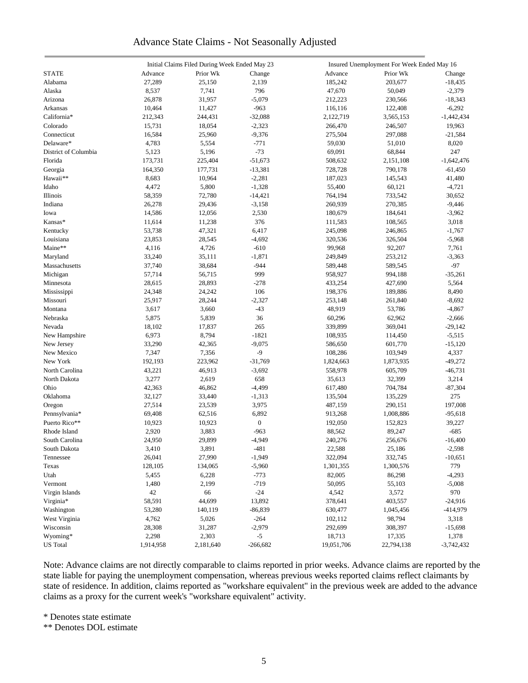# Advance State Claims - Not Seasonally Adjusted

|                      |           | Initial Claims Filed During Week Ended May 23 |                  |            | Insured Unemployment For Week Ended May 16 |              |
|----------------------|-----------|-----------------------------------------------|------------------|------------|--------------------------------------------|--------------|
| <b>STATE</b>         | Advance   | Prior Wk                                      | Change           | Advance    | Prior Wk                                   | Change       |
| Alabama              | 27,289    | 25,150                                        | 2,139            | 185,242    | 203,677                                    | $-18,435$    |
| Alaska               | 8,537     | 7,741                                         | 796              | 47,670     | 50,049                                     | $-2,379$     |
| Arizona              | 26,878    | 31,957                                        | $-5,079$         | 212,223    | 230,566                                    | $-18,343$    |
| Arkansas             | 10,464    | 11,427                                        | $-963$           | 116,116    | 122,408                                    | $-6,292$     |
| California*          | 212,343   | 244,431                                       | $-32,088$        | 2,122,719  | 3,565,153                                  | $-1,442,434$ |
| Colorado             | 15,731    | 18,054                                        | $-2,323$         | 266,470    | 246,507                                    | 19,963       |
|                      |           |                                               |                  |            |                                            |              |
| Connecticut          | 16,584    | 25,960                                        | $-9,376$         | 275,504    | 297,088                                    | $-21,584$    |
| Delaware*            | 4,783     | 5,554                                         | $-771$           | 59,030     | 51,010                                     | 8,020        |
| District of Columbia | 5,123     | 5,196                                         | $-73$            | 69,091     | 68,844                                     | 247          |
| Florida              | 173,731   | 225,404                                       | $-51,673$        | 508,632    | 2,151,108                                  | $-1,642,476$ |
| Georgia              | 164,350   | 177,731                                       | $-13,381$        | 728,728    | 790,178                                    | $-61,450$    |
| Hawaii**             | 8,683     | 10,964                                        | $-2,281$         | 187,023    | 145,543                                    | 41,480       |
| Idaho                | 4,472     | 5,800                                         | $-1,328$         | 55,400     | 60,121                                     | $-4,721$     |
| Illinois             | 58,359    | 72,780                                        | $-14,421$        | 764,194    | 733,542                                    | 30,652       |
| Indiana              | 26,278    | 29,436                                        | $-3,158$         | 260,939    | 270,385                                    | $-9,446$     |
| Iowa                 | 14,586    | 12,056                                        | 2,530            | 180,679    | 184,641                                    | $-3,962$     |
| Kansas*              | 11,614    | 11,238                                        | 376              | 111,583    | 108,565                                    | 3,018        |
| Kentucky             | 53,738    | 47,321                                        | 6,417            | 245,098    | 246,865                                    | $-1,767$     |
| Louisiana            | 23,853    | 28,545                                        | $-4,692$         | 320,536    | 326,504                                    | $-5,968$     |
| Maine**              | 4,116     | 4,726                                         | $-610$           | 99,968     | 92,207                                     | 7,761        |
| Maryland             | 33,240    | 35,111                                        | $-1,871$         | 249,849    | 253,212                                    | $-3,363$     |
| Massachusetts        | 37,740    | 38,684                                        | $-944$           | 589,448    | 589,545                                    | $-97$        |
| Michigan             | 57,714    | 56,715                                        | 999              | 958,927    | 994,188                                    | $-35,261$    |
| Minnesota            | 28,615    | 28,893                                        | $-278$           | 433,254    | 427,690                                    | 5,564        |
| Mississippi          | 24,348    | 24,242                                        | 106              | 198,376    | 189,886                                    | 8,490        |
| Missouri             | 25,917    | 28,244                                        | $-2,327$         | 253,148    | 261,840                                    | $-8,692$     |
| Montana              | 3,617     | 3,660                                         | $-43$            | 48,919     | 53,786                                     | $-4,867$     |
| Nebraska             | 5,875     | 5,839                                         | 36               | 60,296     | 62,962                                     | $-2,666$     |
| Nevada               | 18,102    | 17,837                                        | 265              | 339,899    | 369,041                                    | $-29,142$    |
|                      | 6,973     | 8,794                                         | $-1821$          | 108,935    | 114,450                                    | $-5,515$     |
| New Hampshire        |           |                                               | $-9,075$         |            |                                            |              |
| New Jersey           | 33,290    | 42,365                                        |                  | 586,650    | 601,770                                    | $-15,120$    |
| New Mexico           | 7,347     | 7,356                                         | $-9$             | 108,286    | 103,949                                    | 4,337        |
| New York             | 192,193   | 223,962                                       | $-31,769$        | 1,824,663  | 1,873,935                                  | $-49,272$    |
| North Carolina       | 43,221    | 46,913                                        | $-3,692$         | 558,978    | 605,709                                    | $-46,731$    |
| North Dakota         | 3,277     | 2,619                                         | 658              | 35,613     | 32,399                                     | 3,214        |
| Ohio                 | 42,363    | 46,862                                        | $-4,499$         | 617,480    | 704,784                                    | $-87,304$    |
| Oklahoma             | 32,127    | 33,440                                        | $-1,313$         | 135,504    | 135,229                                    | 275          |
| Oregon               | 27,514    | 23,539                                        | 3,975            | 487,159    | 290,151                                    | 197,008      |
| Pennsylvania*        | 69,408    | 62,516                                        | 6,892            | 913,268    | 1,008,886                                  | $-95,618$    |
| Puerto Rico**        | 10,923    | 10,923                                        | $\boldsymbol{0}$ | 192,050    | 152,823                                    | 39,227       |
| Rhode Island         | 2,920     | 3,883                                         | $-963$           | 88,562     | 89,247                                     | $-685$       |
| South Carolina       | 24,950    | 29,899                                        | $-4,949$         | 240,276    | 256,676                                    | $-16,400$    |
| South Dakota         | 3,410     | 3,891                                         | $-481$           | 22,588     | 25,186                                     | $-2,598$     |
| Tennessee            | 26,041    | 27,990                                        | $-1,949$         | 322,094    | 332,745                                    | $-10,651$    |
| Texas                | 128,105   | 134,065                                       | $-5,960$         | 1,301,355  | 1,300,576                                  | 779          |
| Utah                 | 5,455     | 6,228                                         | $-773$           | 82,005     | 86,298                                     | $-4,293$     |
| Vermont              | 1,480     | 2,199                                         | $-719$           | 50,095     | 55,103                                     | $-5,008$     |
| Virgin Islands       | 42        | 66                                            | $-24$            | 4,542      | 3,572                                      | 970          |
| Virginia*            | 58,591    | 44,699                                        | 13,892           | 378,641    | 403,557                                    | $-24,916$    |
| Washington           | 53,280    | 140,119                                       | $-86,839$        | 630,477    | 1,045,456                                  | -414,979     |
| West Virginia        | 4,762     | 5,026                                         | $-264$           | 102,112    | 98,794                                     | 3,318        |
| Wisconsin            | 28,308    | 31,287                                        | $-2,979$         | 292,699    | 308,397                                    | $-15,698$    |
| Wyoming*             | 2,298     | 2,303                                         | $-5$             | 18,713     | 17,335                                     | 1,378        |
| <b>US</b> Total      | 1,914,958 |                                               | $-266,682$       | 19,051,706 |                                            |              |
|                      |           | 2,181,640                                     |                  |            | 22,794,138                                 | $-3,742,432$ |

Note: Advance claims are not directly comparable to claims reported in prior weeks. Advance claims are reported by the state liable for paying the unemployment compensation, whereas previous weeks reported claims reflect claimants by state of residence. In addition, claims reported as "workshare equivalent" in the previous week are added to the advance claims as a proxy for the current week's "workshare equivalent" activity.

\* Denotes state estimate

\*\* Denotes DOL estimate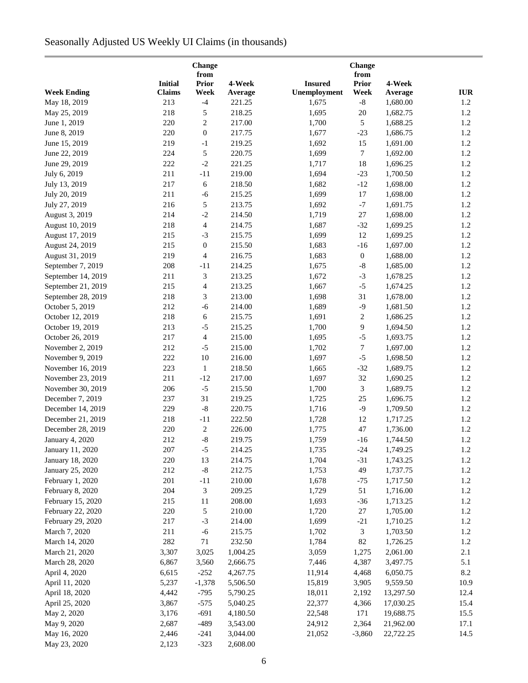# Seasonally Adjusted US Weekly UI Claims (in thousands)

| Change                                   |                |                          |          |                |                  |                      |            |
|------------------------------------------|----------------|--------------------------|----------|----------------|------------------|----------------------|------------|
|                                          | <b>Initial</b> | from<br><b>Prior</b>     | 4-Week   | <b>Insured</b> | from<br>Prior    | 4-Week               |            |
| <b>Week Ending</b>                       | <b>Claims</b>  | Week                     | Average  | Unemployment   | Week             | Average              | <b>IUR</b> |
| May 18, 2019                             | 213            | $-4$                     | 221.25   | 1,675          | $\mbox{-}8$      | 1,680.00             | 1.2        |
| May 25, 2019                             | 218            | 5                        | 218.25   | 1,695          | 20               | 1,682.75             | 1.2        |
| June 1, 2019                             | 220            | $\overline{c}$           | 217.00   | 1,700          | 5                | 1,688.25             | 1.2        |
| June 8, 2019                             | 220            | $\boldsymbol{0}$         | 217.75   | 1,677          | $-23$            | 1,686.75             | 1.2        |
| June 15, 2019                            | 219            | $-1$                     | 219.25   | 1,692          | 15               | 1,691.00             | 1.2        |
| June 22, 2019                            | 224            | 5                        | 220.75   | 1,699          | 7                | 1,692.00             | 1.2        |
| June 29, 2019                            | 222            | $-2$                     | 221.25   | 1,717          | 18               | 1,696.25             | 1.2        |
| July 6, 2019                             | 211            | $-11$                    | 219.00   | 1,694          | $-23$            | 1,700.50             | 1.2        |
| July 13, 2019                            | 217            | 6                        | 218.50   | 1,682          | $-12$            | 1,698.00             | 1.2        |
| July 20, 2019                            | 211            | $-6$                     | 215.25   | 1,699          | $17\,$           | 1,698.00             | 1.2        |
| July 27, 2019                            | 216            | 5                        | 213.75   | 1,692          | $-7$             | 1,691.75             | 1.2        |
| August 3, 2019                           | 214            | $-2$                     | 214.50   | 1,719          | 27               | 1,698.00             | 1.2        |
| August 10, 2019                          | 218            | $\overline{4}$           | 214.75   | 1,687          | $-32$            | 1,699.25             | 1.2        |
| August 17, 2019                          | 215            | $-3$                     | 215.75   | 1,699          | 12               | 1,699.25             | 1.2        |
| August 24, 2019                          | 215            | $\boldsymbol{0}$         | 215.50   | 1,683          | $-16$            | 1,697.00             | 1.2        |
| August 31, 2019                          | 219            | $\overline{4}$           | 216.75   | 1,683          | $\boldsymbol{0}$ | 1,688.00             | 1.2        |
| September 7, 2019                        | 208            | $-11$                    | 214.25   |                | $\mbox{-}8$      |                      | 1.2        |
| September 14, 2019                       | 211            | 3                        | 213.25   | 1,675<br>1,672 | $-3$             | 1,685.00<br>1,678.25 | 1.2        |
|                                          | 215            | $\overline{4}$           | 213.25   |                | $-5$             |                      | 1.2        |
| September 21, 2019<br>September 28, 2019 | 218            |                          | 213.00   | 1,667          | 31               | 1,674.25<br>1,678.00 | 1.2        |
|                                          |                | 3                        |          | 1,698          |                  |                      |            |
| October 5, 2019                          | 212            | $-6$                     | 214.00   | 1,689          | $-9$             | 1,681.50             | 1.2        |
| October 12, 2019                         | 218            | 6                        | 215.75   | 1,691          | $\boldsymbol{2}$ | 1,686.25             | 1.2        |
| October 19, 2019                         | 213            | $-5$                     | 215.25   | 1,700          | 9                | 1,694.50             | 1.2        |
| October 26, 2019                         | 217            | $\overline{\mathcal{A}}$ | 215.00   | 1,695          | $-5$             | 1,693.75             | 1.2        |
| November 2, 2019                         | 212            | $-5$                     | 215.00   | 1,702          | 7                | 1,697.00             | 1.2        |
| November 9, 2019                         | 222            | 10                       | 216.00   | 1,697          | $-5$             | 1,698.50             | 1.2        |
| November 16, 2019                        | 223            | $\mathbf{1}$             | 218.50   | 1,665          | $-32$            | 1,689.75             | 1.2        |
| November 23, 2019                        | 211            | $-12$                    | 217.00   | 1,697          | 32               | 1,690.25             | 1.2        |
| November 30, 2019                        | 206            | $-5$                     | 215.50   | 1,700          | 3                | 1,689.75             | 1.2        |
| December 7, 2019                         | 237            | 31                       | 219.25   | 1,725          | 25               | 1,696.75             | 1.2        |
| December 14, 2019                        | 229            | $\textsf{-}8$            | 220.75   | 1,716          | $-9$             | 1,709.50             | 1.2        |
| December 21, 2019                        | 218            | $-11$                    | 222.50   | 1,728          | 12               | 1,717.25             | 1.2        |
| December 28, 2019                        | 220            | $\overline{c}$           | 226.00   | 1,775          | 47               | 1,736.00             | $1.2$      |
| January 4, 2020                          | 212            | $-8$                     | 219.75   | 1,759          | $-16$            | 1,744.50             | $1.2\,$    |
| January 11, 2020                         | 207            | $-5$                     | 214.25   | 1,735          | $-24$            | 1,749.25             | 1.2        |
| January 18, 2020                         | 220            | 13                       | 214.75   | 1,704          | $-31$            | 1,743.25             | 1.2        |
| January 25, 2020                         | 212            | $\mbox{-}8$              | 212.75   | 1,753          | 49               | 1,737.75             | 1.2        |
| February 1, 2020                         | 201            | $-11$                    | 210.00   | 1,678          | $-75$            | 1,717.50             | 1.2        |
| February 8, 2020                         | 204            | 3                        | 209.25   | 1,729          | 51               | 1,716.00             | 1.2        |
| February 15, 2020                        | 215            | 11                       | 208.00   | 1,693          | $-36$            | 1,713.25             | 1.2        |
| February 22, 2020                        | 220            | 5                        | 210.00   | 1,720          | 27               | 1,705.00             | 1.2        |
| February 29, 2020                        | 217            | $-3$                     | 214.00   | 1,699          | $-21$            | 1,710.25             | 1.2        |
| March 7, 2020                            | 211            | $-6$                     | 215.75   | 1,702          | 3                | 1,703.50             | 1.2        |
| March 14, 2020                           | 282            | $71\,$                   | 232.50   | 1,784          | 82               | 1,726.25             | 1.2        |
| March 21, 2020                           | 3,307          | 3,025                    | 1,004.25 | 3,059          | 1,275            | 2,061.00             | 2.1        |
| March 28, 2020                           | 6,867          | 3,560                    | 2,666.75 | 7,446          | 4,387            | 3,497.75             | 5.1        |
| April 4, 2020                            | 6,615          | $-252$                   | 4,267.75 | 11,914         | 4,468            | 6,050.75             | 8.2        |
| April 11, 2020                           | 5,237          | $-1,378$                 | 5,506.50 | 15,819         | 3,905            | 9,559.50             | 10.9       |
| April 18, 2020                           | 4,442          | $-795$                   | 5,790.25 | 18,011         | 2,192            | 13,297.50            | 12.4       |
| April 25, 2020                           | 3,867          | $-575$                   | 5,040.25 | 22,377         | 4,366            | 17,030.25            | 15.4       |
| May 2, 2020                              | 3,176          | $-691$                   | 4,180.50 | 22,548         | 171              | 19,688.75            | 15.5       |
| May 9, 2020                              | 2,687          | $-489$                   | 3,543.00 | 24,912         | 2,364            | 21,962.00            | 17.1       |
| May 16, 2020                             | 2,446          | $-241$                   | 3,044.00 | 21,052         | $-3,860$         | 22,722.25            | 14.5       |
| May 23, 2020                             | 2,123          | $-323$                   | 2,608.00 |                |                  |                      |            |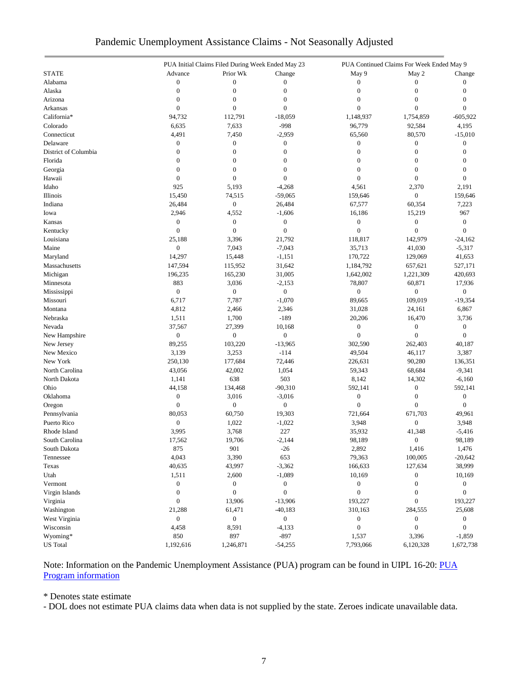|                      |                  | PUA Initial Claims Filed During Week Ended May 23 |                  |                  | PUA Continued Claims For Week Ended May 9 |                  |  |
|----------------------|------------------|---------------------------------------------------|------------------|------------------|-------------------------------------------|------------------|--|
| <b>STATE</b>         | Advance          | Prior Wk                                          | Change           | May 9            | May 2                                     | Change           |  |
| Alabama              | $\boldsymbol{0}$ | $\boldsymbol{0}$                                  | $\mathbf{0}$     | $\overline{0}$   | $\mathbf{0}$                              | 0                |  |
| Alaska               | $\mathbf{0}$     | $\boldsymbol{0}$                                  | $\mathbf{0}$     | $\boldsymbol{0}$ | $\boldsymbol{0}$                          | $\mathbf{0}$     |  |
| Arizona              | $\boldsymbol{0}$ | $\boldsymbol{0}$                                  | $\boldsymbol{0}$ | $\boldsymbol{0}$ | $\boldsymbol{0}$                          | $\mathbf{0}$     |  |
| Arkansas             | $\boldsymbol{0}$ | $\boldsymbol{0}$                                  | $\overline{0}$   | $\mathbf{0}$     | $\boldsymbol{0}$                          | $\Omega$         |  |
| California*          | 94,732           | 112,791                                           | $-18,059$        | 1,148,937        | 1,754,859                                 | $-605,922$       |  |
| Colorado             | 6,635            | 7,633                                             | $-998$           | 96,779           | 92,584                                    | 4,195            |  |
| Connecticut          | 4,491            | 7,450                                             | $-2,959$         | 65,560           | 80,570                                    | $-15,010$        |  |
| Delaware             | $\boldsymbol{0}$ | $\boldsymbol{0}$                                  | $\boldsymbol{0}$ | $\boldsymbol{0}$ | $\boldsymbol{0}$                          | $\mathbf{0}$     |  |
| District of Columbia | $\overline{0}$   | $\boldsymbol{0}$                                  | $\overline{0}$   | $\mathbf{0}$     | $\boldsymbol{0}$                          | $\mathbf{0}$     |  |
| Florida              | $\boldsymbol{0}$ | $\boldsymbol{0}$                                  | $\boldsymbol{0}$ | $\boldsymbol{0}$ | $\boldsymbol{0}$                          | 0                |  |
| Georgia              | $\mathbf{0}$     | $\boldsymbol{0}$                                  | $\boldsymbol{0}$ | $\boldsymbol{0}$ | $\boldsymbol{0}$                          | $\overline{0}$   |  |
| Hawaii               | $\mathbf{0}$     | $\boldsymbol{0}$                                  | $\overline{0}$   | $\overline{0}$   | $\boldsymbol{0}$                          | $\theta$         |  |
| Idaho                | 925              | 5,193                                             | $-4,268$         | 4,561            | 2,370                                     | 2,191            |  |
| Illinois             | 15,450           | 74,515                                            | $-59,065$        | 159,646          | $\boldsymbol{0}$                          | 159,646          |  |
| Indiana              | 26,484           | $\boldsymbol{0}$                                  | 26,484           | 67,577           | 60,354                                    | 7,223            |  |
| Iowa                 | 2,946            | 4,552                                             | $-1,606$         | 16,186           | 15,219                                    | 967              |  |
| Kansas               | $\boldsymbol{0}$ | $\boldsymbol{0}$                                  | $\boldsymbol{0}$ | $\boldsymbol{0}$ | $\boldsymbol{0}$                          | $\boldsymbol{0}$ |  |
| Kentucky             | $\boldsymbol{0}$ | $\mathbf{0}$                                      | $\boldsymbol{0}$ | $\overline{0}$   | $\boldsymbol{0}$                          | $\mathbf{0}$     |  |
| Louisiana            | 25,188           | 3,396                                             | 21,792           | 118,817          | 142,979                                   | $-24,162$        |  |
| Maine                | $\boldsymbol{0}$ | 7,043                                             | $-7,043$         | 35,713           | 41,030                                    | $-5,317$         |  |
| Maryland             | 14,297           | 15,448                                            | $-1,151$         | 170,722          | 129,069                                   | 41,653           |  |
| Massachusetts        | 147,594          | 115,952                                           | 31,642           | 1,184,792        | 657,621                                   | 527,171          |  |
| Michigan             | 196,235          | 165,230                                           | 31,005           | 1,642,002        | 1,221,309                                 | 420,693          |  |
| Minnesota            | 883              | 3,036                                             | $-2,153$         | 78,807           | 60,871                                    | 17,936           |  |
| Mississippi          | $\boldsymbol{0}$ | $\boldsymbol{0}$                                  | $\boldsymbol{0}$ | $\boldsymbol{0}$ | $\boldsymbol{0}$                          | $\overline{0}$   |  |
| Missouri             | 6,717            | 7,787                                             | $-1,070$         | 89,665           | 109,019                                   | $-19,354$        |  |
| Montana              |                  |                                                   |                  |                  |                                           |                  |  |
|                      | 4,812            | 2,466                                             | 2,346<br>$-189$  | 31,028           | 24,161                                    | 6,867            |  |
| Nebraska             | 1,511            | 1,700                                             |                  | 20,206           | 16,470                                    | 3,736            |  |
| Nevada               | 37,567           | 27,399                                            | 10,168           | $\boldsymbol{0}$ | $\boldsymbol{0}$                          | $\boldsymbol{0}$ |  |
| New Hampshire        | $\boldsymbol{0}$ | $\boldsymbol{0}$                                  | $\boldsymbol{0}$ | $\mathbf{0}$     | $\boldsymbol{0}$                          | $\overline{0}$   |  |
| New Jersey           | 89,255           | 103,220                                           | $-13,965$        | 302,590          | 262,403                                   | 40,187           |  |
| New Mexico           | 3,139            | 3,253                                             | $-114$           | 49,504           | 46,117                                    | 3,387            |  |
| New York             | 250,130          | 177,684                                           | 72,446           | 226,631          | 90,280                                    | 136,351          |  |
| North Carolina       | 43,056           | 42,002                                            | 1,054            | 59,343           | 68,684                                    | $-9,341$         |  |
| North Dakota         | 1,141            | 638                                               | 503              | 8,142            | 14,302                                    | $-6,160$         |  |
| Ohio                 | 44,158           | 134,468                                           | $-90,310$        | 592,141          | $\boldsymbol{0}$                          | 592,141          |  |
| Oklahoma             | $\boldsymbol{0}$ | 3,016                                             | $-3,016$         | $\boldsymbol{0}$ | $\boldsymbol{0}$                          | $\boldsymbol{0}$ |  |
| Oregon               | $\mathbf{0}$     | $\boldsymbol{0}$                                  | $\boldsymbol{0}$ | $\boldsymbol{0}$ | $\boldsymbol{0}$                          | $\overline{0}$   |  |
| Pennsylvania         | 80,053           | 60,750                                            | 19,303           | 721,664          | 671,703                                   | 49,961           |  |
| Puerto Rico          | $\boldsymbol{0}$ | 1,022                                             | $-1,022$         | 3,948            | $\boldsymbol{0}$                          | 3,948            |  |
| Rhode Island         | 3,995            | 3,768                                             | 227              | 35,932           | 41,348                                    | $-5,416$         |  |
| South Carolina       | 17,562           | 19,706                                            | $-2,144$         | 98,189           | 0                                         | 98,189           |  |
| South Dakota         | 875              | 901                                               | $-26$            | 2,892            | 1,416                                     | 1,476            |  |
| Tennessee            | 4,043            | 3,390                                             | 653              | 79,363           | 100,005                                   | $-20,642$        |  |
| Texas                | 40,635           | 43,997                                            | $-3,362$         | 166,633          | 127,634                                   | 38,999           |  |
| Utah                 | 1,511            | 2,600                                             | $-1,089$         | 10,169           | $\boldsymbol{0}$                          | 10,169           |  |
| Vermont              | $\boldsymbol{0}$ | $\boldsymbol{0}$                                  | $\boldsymbol{0}$ | $\boldsymbol{0}$ | $\boldsymbol{0}$                          | $\boldsymbol{0}$ |  |
| Virgin Islands       | $\boldsymbol{0}$ | $\boldsymbol{0}$                                  | $\boldsymbol{0}$ | $\boldsymbol{0}$ | $\boldsymbol{0}$                          | $\boldsymbol{0}$ |  |
| Virginia             | $\boldsymbol{0}$ | 13,906                                            | $-13,906$        | 193,227          | $\boldsymbol{0}$                          | 193,227          |  |
| Washington           | 21,288           | 61,471                                            | $-40,183$        | 310,163          | 284,555                                   | 25,608           |  |
| West Virginia        | $\boldsymbol{0}$ | $\boldsymbol{0}$                                  | $\boldsymbol{0}$ | 0                | 0                                         | $\mathbf{0}$     |  |
| Wisconsin            | 4,458            | 8,591                                             | $-4,133$         | 0                | $\boldsymbol{0}$                          | $\overline{0}$   |  |
| Wyoming*             | 850              | 897                                               | $-897$           | 1,537            | 3,396                                     | $-1,859$         |  |
| <b>US</b> Total      | 1,192,616        | 1,246,871                                         | $-54,255$        | 7,793,066        | 6,120,328                                 | 1,672,738        |  |

# Pandemic Unemployment Assistance Claims - Not Seasonally Adjusted

Note: Information on the Pandemic Unemployment Assistance (PUA) program can be found in UIPL 16-20: PUA [Program information](https://wdr.doleta.gov/directives/corr_doc.cfm?DOCN=4628)

\* Denotes state estimate

- DOL does not estimate PUA claims data when data is not supplied by the state. Zeroes indicate unavailable data.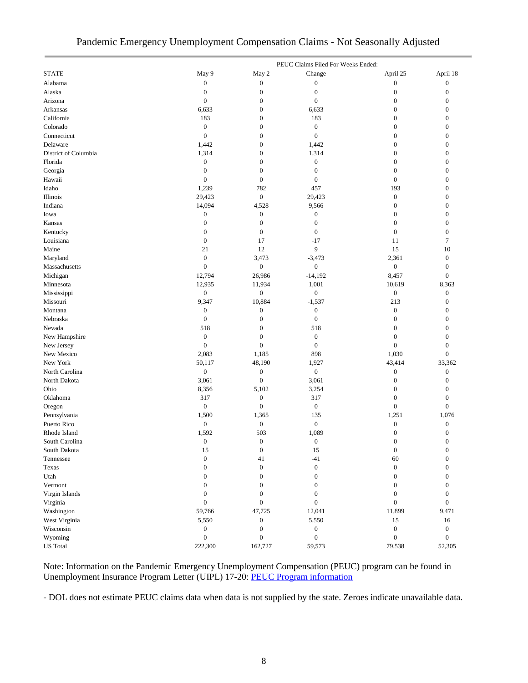# Pandemic Emergency Unemployment Compensation Claims - Not Seasonally Adjusted

|                      |                  |                  | PEUC Claims Filed For Weeks Ended: |                  |                  |
|----------------------|------------------|------------------|------------------------------------|------------------|------------------|
| <b>STATE</b>         | May 9            | May 2            | Change                             | April 25         | April 18         |
| Alabama              | $\boldsymbol{0}$ | $\boldsymbol{0}$ | $\boldsymbol{0}$                   | $\boldsymbol{0}$ | $\mathbf{0}$     |
| Alaska               | $\boldsymbol{0}$ | $\mathbf{0}$     | $\boldsymbol{0}$                   | $\boldsymbol{0}$ | $\mathbf{0}$     |
| Arizona              | $\boldsymbol{0}$ | $\mathbf{0}$     | $\boldsymbol{0}$                   | $\boldsymbol{0}$ | $\boldsymbol{0}$ |
| Arkansas             | 6,633            | $\mathbf{0}$     | 6,633                              | $\boldsymbol{0}$ | $\boldsymbol{0}$ |
| California           | 183              | $\boldsymbol{0}$ | 183                                | $\boldsymbol{0}$ | $\mathbf{0}$     |
| Colorado             | $\boldsymbol{0}$ | $\mathbf{0}$     | $\boldsymbol{0}$                   | $\boldsymbol{0}$ | $\mathbf{0}$     |
| Connecticut          | $\boldsymbol{0}$ | $\mathbf{0}$     | $\boldsymbol{0}$                   | $\boldsymbol{0}$ | $\mathbf{0}$     |
| Delaware             | 1,442            | $\mathbf{0}$     | 1,442                              | $\boldsymbol{0}$ | $\boldsymbol{0}$ |
| District of Columbia | 1,314            | $\mathbf{0}$     | 1,314                              | $\boldsymbol{0}$ | $\boldsymbol{0}$ |
| Florida              | $\boldsymbol{0}$ | $\overline{0}$   | $\boldsymbol{0}$                   | $\boldsymbol{0}$ | $\mathbf{0}$     |
| Georgia              | $\boldsymbol{0}$ | $\mathbf{0}$     | $\boldsymbol{0}$                   | $\boldsymbol{0}$ | $\boldsymbol{0}$ |
| Hawaii               | $\boldsymbol{0}$ | $\boldsymbol{0}$ | $\boldsymbol{0}$                   | $\boldsymbol{0}$ | $\boldsymbol{0}$ |
| Idaho                | 1,239            | 782              | 457                                | 193              | $\theta$         |
| Illinois             | 29,423           | $\boldsymbol{0}$ | 29,423                             | $\boldsymbol{0}$ | $\mathbf{0}$     |
| Indiana              | 14,094           | 4,528            | 9,566                              | $\boldsymbol{0}$ | $\boldsymbol{0}$ |
| Iowa                 | $\boldsymbol{0}$ | $\boldsymbol{0}$ | $\boldsymbol{0}$                   | $\boldsymbol{0}$ | $\overline{0}$   |
| Kansas               | $\boldsymbol{0}$ | $\boldsymbol{0}$ | $\boldsymbol{0}$                   | $\boldsymbol{0}$ | $\boldsymbol{0}$ |
| Kentucky             | $\boldsymbol{0}$ | $\boldsymbol{0}$ | $\boldsymbol{0}$                   | $\boldsymbol{0}$ | $\mathbf{0}$     |
| Louisiana            | $\boldsymbol{0}$ | 17               | $-17$                              | 11               | 7                |
| Maine                | 21               | 12               | 9                                  | 15               | 10               |
| Maryland             | $\boldsymbol{0}$ | 3,473            | $-3,473$                           | 2,361            | $\boldsymbol{0}$ |
| Massachusetts        | $\boldsymbol{0}$ | $\boldsymbol{0}$ | $\boldsymbol{0}$                   | $\boldsymbol{0}$ | $\boldsymbol{0}$ |
| Michigan             | 12,794           | 26,986           | $-14,192$                          | 8,457            | $\boldsymbol{0}$ |
| Minnesota            | 12,935           | 11,934           | 1,001                              | 10,619           | 8,363            |
| Mississippi          | $\boldsymbol{0}$ | $\boldsymbol{0}$ | $\boldsymbol{0}$                   | $\boldsymbol{0}$ | $\boldsymbol{0}$ |
| Missouri             | 9,347            | 10,884           | $-1,537$                           | 213              | $\mathbf{0}$     |
| Montana              | $\boldsymbol{0}$ | $\boldsymbol{0}$ | $\boldsymbol{0}$                   | $\boldsymbol{0}$ | $\boldsymbol{0}$ |
| Nebraska             | $\boldsymbol{0}$ | $\mathbf{0}$     | $\boldsymbol{0}$                   | $\boldsymbol{0}$ | $\boldsymbol{0}$ |
| Nevada               | 518              | $\mathbf{0}$     | 518                                | $\boldsymbol{0}$ | $\mathbf{0}$     |
| New Hampshire        | $\boldsymbol{0}$ | $\mathbf{0}$     | $\boldsymbol{0}$                   | $\boldsymbol{0}$ | $\boldsymbol{0}$ |
| New Jersey           | $\boldsymbol{0}$ | $\boldsymbol{0}$ | $\boldsymbol{0}$                   | $\boldsymbol{0}$ | $\boldsymbol{0}$ |
| New Mexico           | 2,083            | 1,185            | 898                                | 1,030            | $\mathbf{0}$     |
| New York             | 50,117           | 48,190           | 1,927                              | 43,414           | 33,362           |
| North Carolina       | $\boldsymbol{0}$ | $\boldsymbol{0}$ | $\boldsymbol{0}$                   | $\boldsymbol{0}$ | $\boldsymbol{0}$ |
| North Dakota         | 3,061            | $\mathbf{0}$     | 3,061                              | $\boldsymbol{0}$ | $\boldsymbol{0}$ |
| Ohio                 | 8,356            | 5,102            | 3,254                              | $\boldsymbol{0}$ | $\boldsymbol{0}$ |
| Oklahoma             | 317              | $\boldsymbol{0}$ | 317                                | $\boldsymbol{0}$ | $\overline{0}$   |
| Oregon               | $\boldsymbol{0}$ | $\mathbf{0}$     | $\boldsymbol{0}$                   | $\boldsymbol{0}$ | $\boldsymbol{0}$ |
| Pennsylvania         | 1,500            | 1,365            | 135                                | 1,251            | 1,076            |
| Puerto Rico          | $\boldsymbol{0}$ | $\boldsymbol{0}$ | $\boldsymbol{0}$                   | $\boldsymbol{0}$ | $\boldsymbol{0}$ |
| Rhode Island         | 1,592            | 503              | 1,089                              | $\boldsymbol{0}$ | $\boldsymbol{0}$ |
| South Carolina       | $\overline{0}$   | $\overline{0}$   | $\boldsymbol{0}$                   | $\mathbf{0}$     | $\theta$         |
| South Dakota         | 15               | $\boldsymbol{0}$ | 15                                 | $\boldsymbol{0}$ | $\boldsymbol{0}$ |
| Tennessee            | $\boldsymbol{0}$ | 41               | $-41$                              | 60               | $\boldsymbol{0}$ |
| Texas                | $\boldsymbol{0}$ | $\mathbf{0}$     | $\boldsymbol{0}$                   | $\boldsymbol{0}$ | $\Omega$         |
| Utah                 | $\boldsymbol{0}$ | $\boldsymbol{0}$ | $\boldsymbol{0}$                   | $\boldsymbol{0}$ | $\boldsymbol{0}$ |
| Vermont              | $\boldsymbol{0}$ | $\boldsymbol{0}$ | $\boldsymbol{0}$                   | $\boldsymbol{0}$ | $\boldsymbol{0}$ |
| Virgin Islands       | $\mathbf{0}$     | $\mathbf{0}$     | $\boldsymbol{0}$                   | $\boldsymbol{0}$ | $\overline{0}$   |
| Virginia             | $\boldsymbol{0}$ | $\boldsymbol{0}$ | $\boldsymbol{0}$                   | $\boldsymbol{0}$ | $\boldsymbol{0}$ |
| Washington           | 59,766           | 47,725           | 12,041                             | 11,899           | 9,471            |
| West Virginia        | 5,550            | $\boldsymbol{0}$ | 5,550                              | 15               | 16               |
| Wisconsin            | $\boldsymbol{0}$ | $\mathbf{0}$     | $\boldsymbol{0}$                   | $\boldsymbol{0}$ | $\boldsymbol{0}$ |
| Wyoming              | $\boldsymbol{0}$ | $\boldsymbol{0}$ | $\boldsymbol{0}$                   | $\boldsymbol{0}$ | $\boldsymbol{0}$ |
| <b>US</b> Total      | 222,300          | 162,727          | 59,573                             | 79,538           | 52,305           |

Note: Information on the Pandemic Emergency Unemployment Compensation (PEUC) program can be found in Unemployment Insurance Program Letter (UIPL) 17-20: [PEUC Program information](https://wdr.doleta.gov/directives/corr_doc.cfm?DOCN=8452)

- DOL does not estimate PEUC claims data when data is not supplied by the state. Zeroes indicate unavailable data.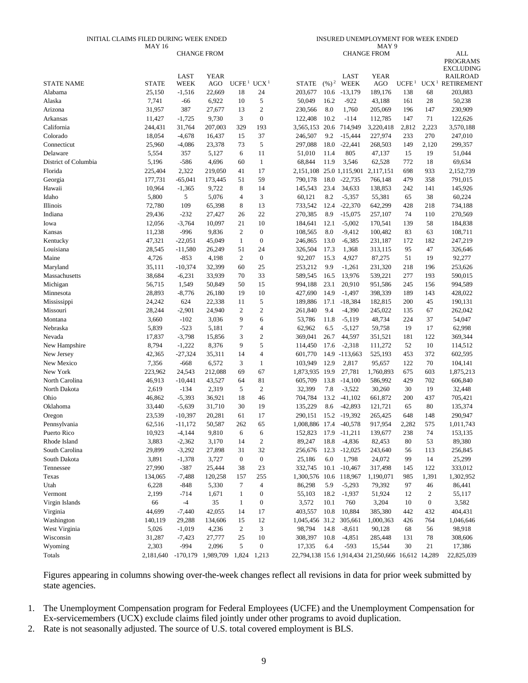#### INITIAL CLAIMS FILED DURING WEEK ENDED MAY 16

#### INSURED UNEMPLOYMENT FOR WEEK ENDED MAY 9

|                      |              |             | <b>CHANGE FROM</b> |                                    |                  |                |                  |                | <b>CHANGE FROM</b>                                 |                   |                  | <b>ALL</b>                          |
|----------------------|--------------|-------------|--------------------|------------------------------------|------------------|----------------|------------------|----------------|----------------------------------------------------|-------------------|------------------|-------------------------------------|
|                      |              |             |                    |                                    |                  |                |                  |                |                                                    |                   |                  | <b>PROGRAMS</b>                     |
|                      |              | <b>LAST</b> | <b>YEAR</b>        |                                    |                  |                |                  | <b>LAST</b>    | <b>YEAR</b>                                        |                   |                  | <b>EXCLUDING</b><br><b>RAILROAD</b> |
| <b>STATE NAME</b>    | <b>STATE</b> | <b>WEEK</b> | <b>AGO</b>         | UCFE <sup>1</sup> UCX <sup>1</sup> |                  | <b>STATE</b>   | (%) <sup>2</sup> | <b>WEEK</b>    | <b>AGO</b>                                         | UCFE <sup>1</sup> |                  | UCX <sup>1</sup> RETIREMENT         |
| Alabama              | 25,150       | $-1,516$    | 22,669             | 18                                 | 24               | 203,677        | 10.6             | $-13,179$      | 189,176                                            | 138               | 68               | 203,883                             |
| Alaska               | 7,741        | $-66$       | 6,922              | 10                                 | $\sqrt{5}$       | 50,049         | 16.2             | $-922$         | 43,188                                             | 161               | 28               | 50,238                              |
| Arizona              | 31,957       | 387         | 27,677             | 13                                 | $\mathfrak{2}$   | 230,566        | 8.0              | 1,760          | 205,069                                            | 196               | 147              | 230,909                             |
| Arkansas             | 11,427       | $-1,725$    | 9,730              | 3                                  | $\boldsymbol{0}$ | 122,408        | 10.2             | $-114$         | 112,785                                            | 147               | 71               | 122,626                             |
| California           | 244,431      | 31,764      | 207,003            | 329                                | 193              | 3,565,153      | 20.6             | 714,949        | 3,220,418                                          | 2,812             | 2,223            | 3,570,188                           |
| Colorado             | 18,054       | $-4,678$    | 16,437             | 15                                 | 37               | 246,507        | 9.2              | $-15,444$      | 227,974                                            | 233               | 270              | 247,010                             |
| Connecticut          | 25,960       | $-4,086$    | 23,378             | 73                                 | $\sqrt{5}$       | 297,088        | 18.0             | $-22,441$      | 268,503                                            | 149               | 2,120            | 299,357                             |
| Delaware             | 5,554        | 357         | 5,127              | 6                                  | 11               | 51,010         | 11.4             | 805            | 47,137                                             | 15                | 19               | 51,044                              |
| District of Columbia | 5,196        | $-586$      | 4,696              | 60                                 | $\mathbf{1}$     | 68,844         | 11.9             | 3,546          | 62,528                                             | 772               | 18               | 69,634                              |
| Florida              | 225,404      | 2,322       | 219,050            | 41                                 | 17               | 2,151,108      |                  | 25.0 1,115,901 | 2,117,151                                          | 698               | 933              | 2,152,739                           |
| Georgia              | 177,731      | $-65,041$   | 173,445            | 51                                 | 59               | 790,178        | 18.0             | $-22,735$      | 766,148                                            | 479               | 358              | 791,015                             |
| Hawaii               | 10,964       | $-1,365$    | 9,722              | 8                                  | 14               | 145,543        | 23.4             | 34,633         | 138,853                                            | 242               | 141              | 145,926                             |
| Idaho                | 5,800        | 5           | 5,076              | $\overline{4}$                     | 3                | 60,121         | 8.2              | $-5,357$       | 55,381                                             | 65                | 38               | 60,224                              |
| Illinois             | 72,780       | 109         | 65,398             | 8                                  | 13               | 733,542        | 12.4             | $-22,370$      | 642,299                                            | 428               | 218              | 734,188                             |
| Indiana              | 29,436       | $-232$      | 27,427             | 26                                 | 22               | 270,385        | 8.9              | $-15,075$      | 257,107                                            | 74                | 110              | 270,569                             |
| Iowa                 | 12,056       | $-3,764$    | 10,097             | 21                                 | 10               | 184,641        | 12.1             | $-5,002$       | 170,541                                            | 139               | 58               | 184,838                             |
| Kansas               | 11,238       | $-996$      | 9,836              | $\mathfrak{2}$                     | $\boldsymbol{0}$ | 108,565        | 8.0              | $-9,412$       | 100,482                                            | 83                | 63               | 108,711                             |
| Kentucky             | 47,321       | $-22,051$   | 45,049             | $\mathbf{1}$                       | $\boldsymbol{0}$ | 246,865        | 13.0             | $-6,385$       | 231,187                                            | 172               | 182              | 247,219                             |
| Louisiana            | 28,545       | $-11,580$   | 26,249             | 51                                 | 24               | 326,504        | 17.3             | 1,368          | 313,115                                            | 95                | 47               | 326,646                             |
| Maine                | 4,726        | $-853$      | 4,198              | 2                                  | $\boldsymbol{0}$ | 92,207         | 15.3             | 4,927          | 87,275                                             | 51                | 19               | 92,277                              |
| Maryland             | 35,111       | $-10,374$   | 32,399             | 60                                 | 25               | 253,212        | 9.9              | $-1,261$       | 231,320                                            | 218               | 196              | 253,626                             |
| Massachusetts        | 38,684       | $-6,231$    | 33,939             | 70                                 | 33               | 589,545        | 16.5             | 13,976         | 539,221                                            | 277               | 193              | 590,015                             |
| Michigan             | 56,715       | 1,549       | 50,849             | 50                                 | 15               | 994,188        | 23.1             | 20,910         | 951,586                                            | 245               | 156              | 994,589                             |
| Minnesota            | 28,893       | $-8,776$    | 26,180             | 19                                 | 10               | 427,690        | 14.9             | $-1,497$       | 398,339                                            | 189               | 143              | 428,022                             |
| Mississippi          | 24,242       | 624         | 22,338             | 11                                 | $\sqrt{5}$       | 189,886        | 17.1             | $-18,384$      | 182,815                                            | 200               | 45               | 190,131                             |
| Missouri             | 28,244       | $-2,901$    | 24,940             | $\mathfrak{2}$                     | $\overline{2}$   | 261,840        | 9.4              | $-4,390$       | 245,022                                            | 135               | 67               | 262,042                             |
| Montana              | 3,660        | $-102$      | 3,036              | 9                                  | 6                | 53,786         | 11.8             | $-5,119$       | 48,734                                             | 224               | 37               | 54,047                              |
| Nebraska             | 5,839        | $-523$      | 5,181              | 7                                  | $\overline{4}$   | 62,962         | 6.5              | $-5,127$       | 59,758                                             | 19                | 17               | 62,998                              |
| Nevada               | 17,837       | $-3,798$    | 15,856             | 3                                  | $\mathbf{2}$     | 369,041        | 26.7             | 44,597         | 351,521                                            | 181               | 122              | 369,344                             |
| New Hampshire        | 8,794        | $-1,222$    | 8,376              | 9                                  | 5                | 114,450        | 17.6             | $-2,318$       | 111,272                                            | 52                | 10               | 114,512                             |
| New Jersey           | 42,365       | $-27,324$   | 35,311             | 14                                 | $\overline{4}$   | 601,770        |                  | 14.9 -113,663  | 525,193                                            | 453               | 372              | 602,595                             |
| New Mexico           | 7,356        | $-668$      | 6,572              | 3                                  | $\mathbf{1}$     | 103,949        | 12.9             | 2,817          | 95,657                                             | 122               | 70               | 104,141                             |
| New York             | 223,962      | 24,543      | 212,088            | 69                                 | 67               | 1,873,935      | 19.9             | 27,781         | 1,760,893                                          | 675               | 603              | 1,875,213                           |
| North Carolina       | 46,913       | $-10,441$   | 43,527             | 64                                 | 81               | 605,709        | 13.8             | $-14,100$      | 586,992                                            | 429               | 702              | 606,840                             |
| North Dakota         | 2,619        | $-134$      | 2,319              | 5                                  | $\mathfrak{2}$   | 32,399         | 7.8              | $-3,522$       | 30,260                                             | 30                | 19               | 32,448                              |
| Ohio                 | 46,862       | $-5,393$    | 36,921             | 18                                 | 46               | 704,784        | 13.2             | $-41,102$      | 661,872                                            | 200               | 437              | 705,421                             |
| Oklahoma             | 33,440       | $-5,639$    | 31,710             | 30                                 | 19               | 135,229        | 8.6              | $-42,893$      | 121,721                                            | 65                | 80               | 135,374                             |
| Oregon               | 23,539       | $-10,397$   | 20,281             | 61                                 | 17               | 290,151        | 15.2             | -19,392        | 265,425                                            | 648               | 148              | 290,947                             |
| Pennsylvania         | 62,516       | $-11,172$   | 50,587             | 262                                | 65               | 1,008,886      | 17.4             | $-40,578$      | 917,954                                            | 2,282             | 575              | 1,011,743                           |
| Puerto Rico          | 10,923       | $-4,144$    | 9,810              | 6                                  | 6                | 152,823        | 17.9             | $-11,211$      | 139,677                                            | 238               | 74               | 153,135                             |
| Rhode Island         | 3,883        | $-2,362$    | 3,170              | 14                                 | $\boldsymbol{2}$ | 89,247         | 18.8             | $-4,836$       | 82,453                                             | 80                | 53               | 89,380                              |
| South Carolina       | 29,899       | $-3,292$    | 27,898             | 31                                 | 32               | 256,676        | 12.3             | $-12,025$      | 243,640                                            | 56                | 113              | 256,845                             |
| South Dakota         | 3,891        | $-1,378$    | 3,727              | $\boldsymbol{0}$                   | $\boldsymbol{0}$ | 25,186         | 6.0              | 1,798          | 24,072                                             | 99                | 14               | 25,299                              |
| Tennessee            | 27,990       | $-387$      | 25,444             | 38                                 | 23               | 332,745        | 10.1             | $-10,467$      | 317,498                                            | 145               | 122              | 333,012                             |
| Texas                | 134,065      | $-7,488$    | 120,258            | 157                                | 255              | 1,300,576      | 10.6             | 118,967        | 1,190,071                                          | 985               | 1,391            | 1,302,952                           |
| Utah                 | 6,228        | $-848$      | 5,330              | $\tau$                             | $\overline{4}$   | 86,298         | 5.9              | $-5,293$       | 79,392                                             | 97                | 46               | 86,441                              |
| Vermont              | 2,199        | $-714$      | 1,671              | $\mathbf{1}$                       | $\boldsymbol{0}$ | 55,103         | 18.2             | $-1,937$       | 51,924                                             | 12                | $\overline{c}$   | 55,117                              |
| Virgin Islands       | 66           | $-4$        | 35                 | 1                                  | $\boldsymbol{0}$ | 3,572          | 10.1             | 760            | 3,204                                              | 10                | $\boldsymbol{0}$ | 3,582                               |
| Virginia             | 44,699       | $-7,440$    | 42,055             | 14                                 | 17               | 403,557        | 10.8             | 10,884         | 385,380                                            | 442               | 432              | 404,431                             |
| Washington           | 140,119      | 29,288      | 134,606            | 15                                 | 12               | 1,045,456 31.2 |                  | 305,661        | 1,000,363                                          | 426               | 764              | 1,046,646                           |
| West Virginia        | 5,026        | $-1,019$    | 4,236              | $\overline{c}$                     | 3                | 98,794         | 14.8             | $-8,611$       | 90,128                                             | 68                | 56               | 98,918                              |
| Wisconsin            | 31,287       | $-7,423$    | 27,777             | 25                                 | 10               | 308,397        | 10.8             | $-4,851$       | 285,448                                            | 131               | 78               | 308,606                             |
| Wyoming              | 2,303        | $-994$      | 2,096              | 5                                  | $\boldsymbol{0}$ | 17,335         | 6.4              | $-593$         | 15,544                                             | 30                | 21               | 17,386                              |
| Totals               | 2,181,640    |             | -170,179 1,989,709 | 1,824                              | 1,213            |                |                  |                | 22,794,138 15.6 1,914,434 21,250,666 16,612 14,289 |                   |                  | 22,825,039                          |

Figures appearing in columns showing over-the-week changes reflect all revisions in data for prior week submitted by state agencies.

- 1. The Unemployment Compensation program for Federal Employees (UCFE) and the Unemployment Compensation for Ex-servicemembers (UCX) exclude claims filed jointly under other programs to avoid duplication.
- 2. Rate is not seasonally adjusted. The source of U.S. total covered employment is BLS.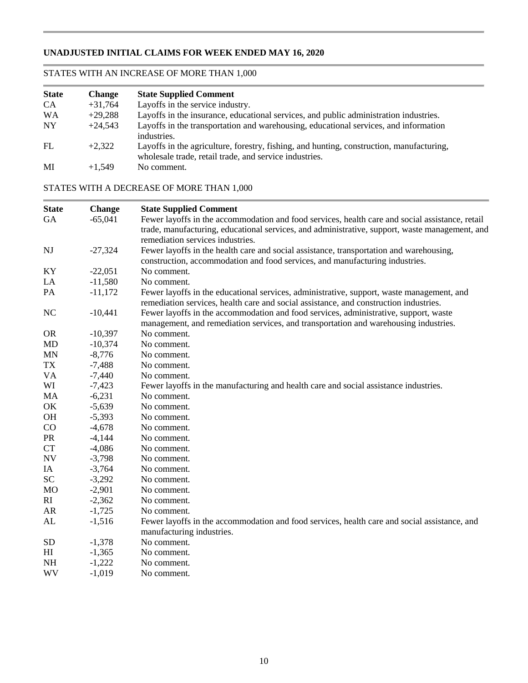# **UNADJUSTED INITIAL CLAIMS FOR WEEK ENDED MAY 16, 2020**

# STATES WITH AN INCREASE OF MORE THAN 1,000

| <b>State</b> | <b>Change</b> | <b>State Supplied Comment</b>                                                                                                                      |
|--------------|---------------|----------------------------------------------------------------------------------------------------------------------------------------------------|
| CA           | $+31,764$     | Layoffs in the service industry.                                                                                                                   |
| <b>WA</b>    | $+29,288$     | Layoffs in the insurance, educational services, and public administration industries.                                                              |
| <b>NY</b>    | $+24,543$     | Layoffs in the transportation and warehousing, educational services, and information<br>industries.                                                |
| FL           | $+2.322$      | Layoffs in the agriculture, forestry, fishing, and hunting, construction, manufacturing,<br>wholesale trade, retail trade, and service industries. |
| MI           | $+1.549$      | No comment.                                                                                                                                        |

# STATES WITH A DECREASE OF MORE THAN 1,000

| <b>State</b> | Change    | <b>State Supplied Comment</b>                                                                   |
|--------------|-----------|-------------------------------------------------------------------------------------------------|
| GA           | $-65,041$ | Fewer layoffs in the accommodation and food services, health care and social assistance, retail |
|              |           | trade, manufacturing, educational services, and administrative, support, waste management, and  |
|              |           | remediation services industries.                                                                |
| <b>NJ</b>    | $-27,324$ | Fewer layoffs in the health care and social assistance, transportation and warehousing,         |
|              |           | construction, accommodation and food services, and manufacturing industries.                    |
| KY           | $-22,051$ | No comment.                                                                                     |
| LA           | $-11,580$ | No comment.                                                                                     |
| PA           | $-11,172$ | Fewer layoffs in the educational services, administrative, support, waste management, and       |
|              |           | remediation services, health care and social assistance, and construction industries.           |
| <b>NC</b>    | $-10,441$ | Fewer layoffs in the accommodation and food services, administrative, support, waste            |
|              |           | management, and remediation services, and transportation and warehousing industries.            |
| <b>OR</b>    | $-10,397$ | No comment.                                                                                     |
| <b>MD</b>    | $-10,374$ | No comment.                                                                                     |
| <b>MN</b>    | $-8,776$  | No comment.                                                                                     |
| TX           | $-7,488$  | No comment.                                                                                     |
| <b>VA</b>    | $-7,440$  | No comment.                                                                                     |
| WI           | $-7,423$  | Fewer layoffs in the manufacturing and health care and social assistance industries.            |
| MA           | $-6,231$  | No comment.                                                                                     |
| OK           | $-5,639$  | No comment.                                                                                     |
| <b>OH</b>    | $-5,393$  | No comment.                                                                                     |
| CO           | $-4,678$  | No comment.                                                                                     |
| <b>PR</b>    | $-4,144$  | No comment.                                                                                     |
| <b>CT</b>    | $-4,086$  | No comment.                                                                                     |
| <b>NV</b>    | $-3,798$  | No comment.                                                                                     |
| IA           | $-3,764$  | No comment.                                                                                     |
| <b>SC</b>    | $-3,292$  | No comment.                                                                                     |
| <b>MO</b>    | $-2,901$  | No comment.                                                                                     |
| RI           | $-2,362$  | No comment.                                                                                     |
| AR           | $-1,725$  | No comment.                                                                                     |
| AL           | $-1,516$  | Fewer layoffs in the accommodation and food services, health care and social assistance, and    |
|              |           | manufacturing industries.                                                                       |
| <b>SD</b>    | $-1,378$  | No comment.                                                                                     |
| HI           | $-1,365$  | No comment.                                                                                     |
| NH           | $-1,222$  | No comment.                                                                                     |
| WV           | $-1,019$  | No comment.                                                                                     |
|              |           |                                                                                                 |